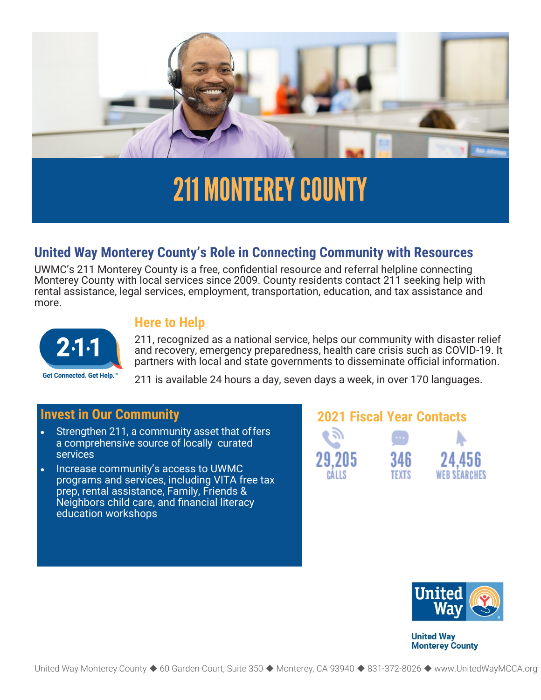

# 211 MONTEREY COUNTY

## **United Way Monterey County's Role in Connecting Community with Resources**

UWMC's 211 Monterey County is a free, confidential resource and referral helpline connecting rental assistance, legal services, employment, transportation, education, and tax assistance and Monterey County with local services since 2009. County residents contact 211 seeking help with more.



### **Here to Help**

211, recognized as a national service, helps our community with disaster relief and recovery, emergency preparedness, health care crisis such as COVID-19. It partners with local and state governments to disseminate official information.

211 is available 24 hours a day, seven days a week, in over 170 languages.

- Strengthen 211, a community asset that offers a comprehensive source of locally curated services
- Increase community's access to UWMC programs and services, including VITA free tax prep, rental assistance, Family, Friends & Neighbors child care, and financial literacy education workshops

## **Invest in Our Community 2021 Fiscal Year Contacts**





**United Way Monterey County**